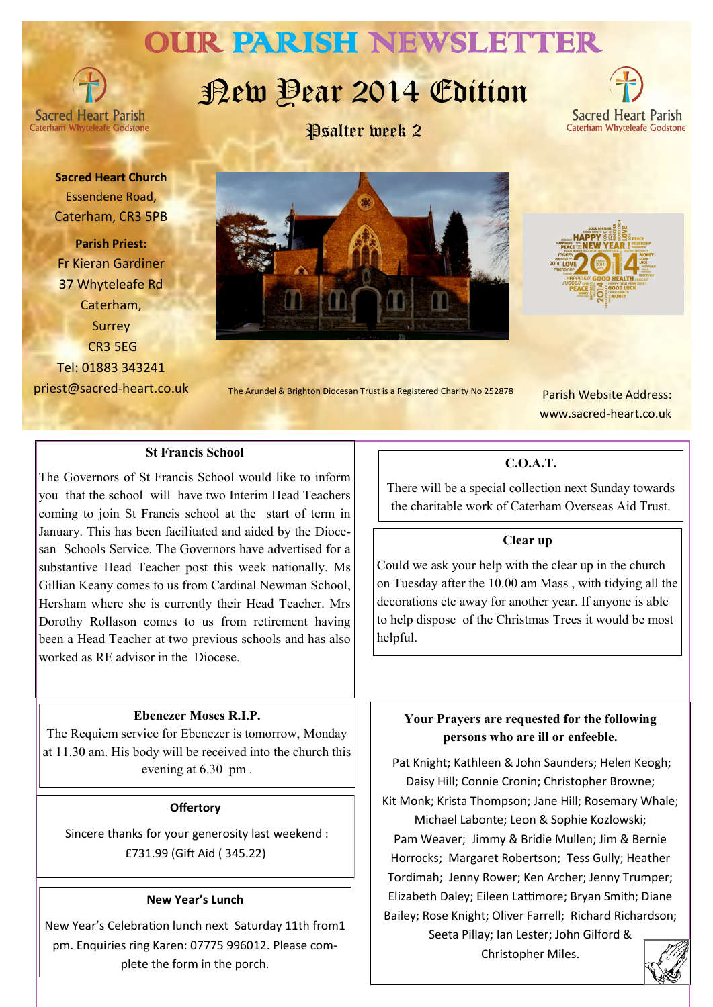## OUR PARISH NEWSLETTER

**Sacred Heart Parish** 

# Rew Dear 2014 Edition





**Sacred Heart Church** Essendene Road, Caterham, CR3 5PB

**Parish Priest:** Fr Kieran Gardiner 37 Whyteleafe Rd Caterham, Surrey CR3 5EG Tel: 01883 343241 priest@sacred-heart.co.uk





 Parish Website Address: www.sacred-heart.co.uk

## **St Francis School**

The Governors of St Francis School would like to inform you that the school will have two Interim Head Teachers coming to join St Francis school at the start of term in January. This has been facilitated and aided by the Diocesan Schools Service. The Governors have advertised for a substantive Head Teacher post this week nationally. Ms Gillian Keany comes to us from Cardinal Newman School, Hersham where she is currently their Head Teacher. Mrs Dorothy Rollason comes to us from retirement having been a Head Teacher at two previous schools and has also worked as RE advisor in the Diocese.

#### **Ebenezer Moses R.I.P.**

The Requiem service for Ebenezer is tomorrow, Monday at 11.30 am. His body will be received into the church this evening at 6.30 pm .

#### **Offertory**

Sincere thanks for your generosity last weekend : £731.99 (Gift Aid ( 345.22)

#### **New Year's Lunch**

New Year's Celebration lunch next Saturday 11th from1 pm. Enquiries ring Karen: 07775 996012. Please complete the form in the porch.

## **C.O.A.T.**

There will be a special collection next Sunday towards the charitable work of Caterham Overseas Aid Trust.

#### **Clear up**

Could we ask your help with the clear up in the church on Tuesday after the 10.00 am Mass , with tidying all the decorations etc away for another year. If anyone is able to help dispose of the Christmas Trees it would be most helpful.

## **Your Prayers are requested for the following persons who are ill or enfeeble.**

Pat Knight; Kathleen & John Saunders; Helen Keogh; Daisy Hill; Connie Cronin; Christopher Browne; Kit Monk; Krista Thompson; Jane Hill; Rosemary Whale; Michael Labonte; Leon & Sophie Kozlowski; Pam Weaver; Jimmy & Bridie Mullen; Jim & Bernie Horrocks; Margaret Robertson; Tess Gully; Heather Tordimah; Jenny Rower; Ken Archer; Jenny Trumper; Elizabeth Daley; Eileen Lattimore; Bryan Smith; Diane Bailey; Rose Knight; Oliver Farrell; Richard Richardson;

> Seeta Pillay; Ian Lester; John Gilford & Christopher Miles.